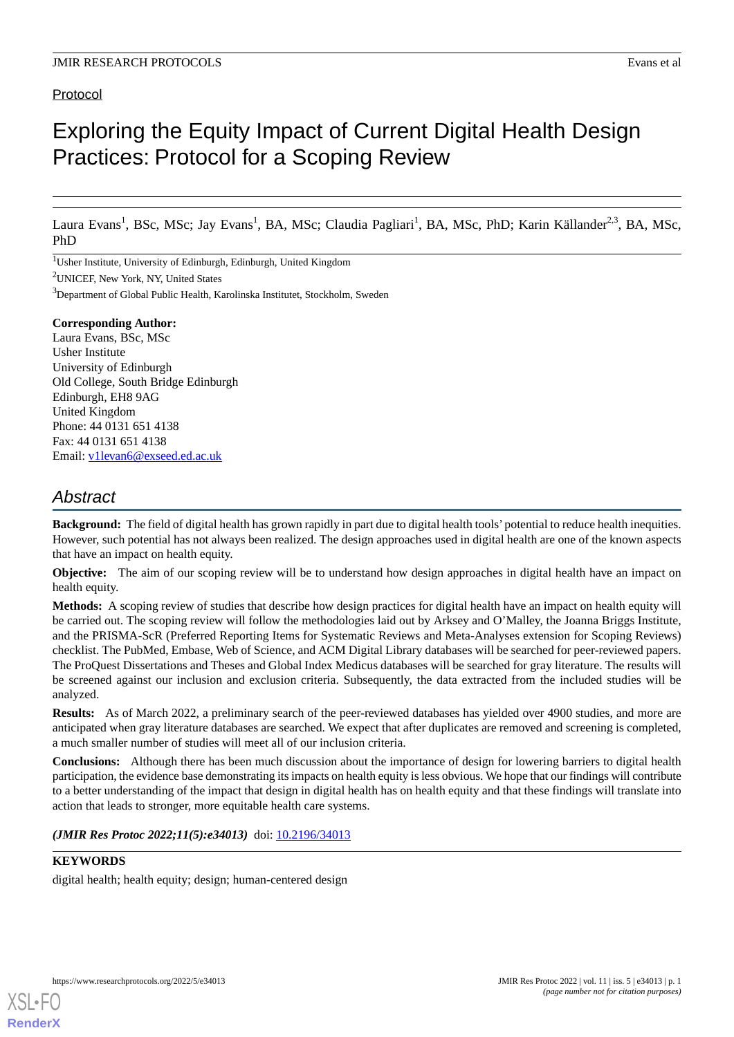# Protocol

# Exploring the Equity Impact of Current Digital Health Design Practices: Protocol for a Scoping Review

Laura Evans<sup>1</sup>, BSc, MSc; Jay Evans<sup>1</sup>, BA, MSc; Claudia Pagliari<sup>1</sup>, BA, MSc, PhD; Karin Källander<sup>2,3</sup>, BA, MSc, PhD

<sup>1</sup>Usher Institute, University of Edinburgh, Edinburgh, United Kingdom

<sup>2</sup>UNICEF, New York, NY, United States

<sup>3</sup>Department of Global Public Health, Karolinska Institutet, Stockholm, Sweden

### **Corresponding Author:**

Laura Evans, BSc, MSc Usher Institute University of Edinburgh Old College, South Bridge Edinburgh Edinburgh, EH8 9AG United Kingdom Phone: 44 0131 651 4138 Fax: 44 0131 651 4138 Email: [v1levan6@exseed.ed.ac.uk](mailto:v1levan6@exseed.ed.ac.uk)

# *Abstract*

**Background:** The field of digital health has grown rapidly in part due to digital health tools' potential to reduce health inequities. However, such potential has not always been realized. The design approaches used in digital health are one of the known aspects that have an impact on health equity.

**Objective:** The aim of our scoping review will be to understand how design approaches in digital health have an impact on health equity.

**Methods:** A scoping review of studies that describe how design practices for digital health have an impact on health equity will be carried out. The scoping review will follow the methodologies laid out by Arksey and O'Malley, the Joanna Briggs Institute, and the PRISMA-ScR (Preferred Reporting Items for Systematic Reviews and Meta-Analyses extension for Scoping Reviews) checklist. The PubMed, Embase, Web of Science, and ACM Digital Library databases will be searched for peer-reviewed papers. The ProQuest Dissertations and Theses and Global Index Medicus databases will be searched for gray literature. The results will be screened against our inclusion and exclusion criteria. Subsequently, the data extracted from the included studies will be analyzed.

**Results:** As of March 2022, a preliminary search of the peer-reviewed databases has yielded over 4900 studies, and more are anticipated when gray literature databases are searched. We expect that after duplicates are removed and screening is completed, a much smaller number of studies will meet all of our inclusion criteria.

**Conclusions:** Although there has been much discussion about the importance of design for lowering barriers to digital health participation, the evidence base demonstrating its impacts on health equity is less obvious. We hope that our findings will contribute to a better understanding of the impact that design in digital health has on health equity and that these findings will translate into action that leads to stronger, more equitable health care systems.

# (JMIR Res Protoc 2022;11(5):e34013) doi: [10.2196/34013](http://dx.doi.org/10.2196/34013)

# **KEYWORDS**

[XSL](http://www.w3.org/Style/XSL)•FO **[RenderX](http://www.renderx.com/)**

digital health; health equity; design; human-centered design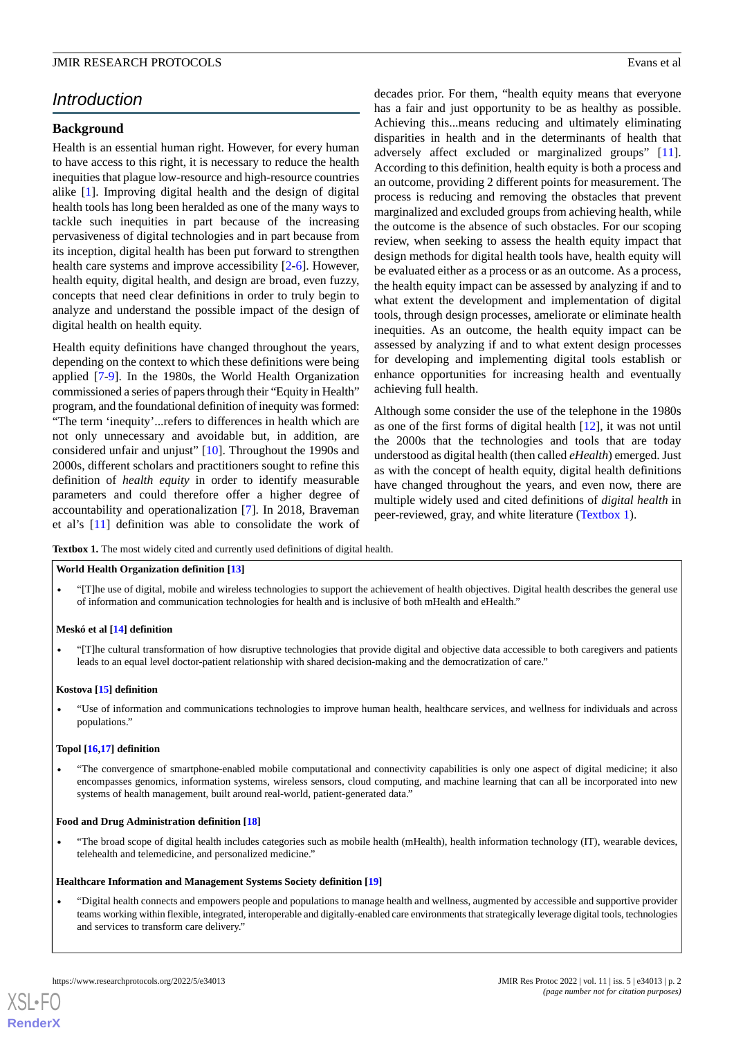# *Introduction*

# **Background**

Health is an essential human right. However, for every human to have access to this right, it is necessary to reduce the health inequities that plague low-resource and high-resource countries alike [\[1](#page-6-0)]. Improving digital health and the design of digital health tools has long been heralded as one of the many ways to tackle such inequities in part because of the increasing pervasiveness of digital technologies and in part because from its inception, digital health has been put forward to strengthen health care systems and improve accessibility [[2-](#page-6-1)[6](#page-6-2)]. However, health equity, digital health, and design are broad, even fuzzy, concepts that need clear definitions in order to truly begin to analyze and understand the possible impact of the design of digital health on health equity.

Health equity definitions have changed throughout the years, depending on the context to which these definitions were being applied [[7-](#page-6-3)[9\]](#page-6-4). In the 1980s, the World Health Organization commissioned a series of papers through their "Equity in Health" program, and the foundational definition of inequity was formed: "The term 'inequity'...refers to differences in health which are not only unnecessary and avoidable but, in addition, are considered unfair and unjust" [\[10](#page-6-5)]. Throughout the 1990s and 2000s, different scholars and practitioners sought to refine this definition of *health equity* in order to identify measurable parameters and could therefore offer a higher degree of accountability and operationalization [\[7](#page-6-3)]. In 2018, Braveman et al's [\[11](#page-6-6)] definition was able to consolidate the work of decades prior. For them, "health equity means that everyone has a fair and just opportunity to be as healthy as possible. Achieving this...means reducing and ultimately eliminating disparities in health and in the determinants of health that adversely affect excluded or marginalized groups" [[11\]](#page-6-6). According to this definition, health equity is both a process and an outcome, providing 2 different points for measurement. The process is reducing and removing the obstacles that prevent marginalized and excluded groups from achieving health, while the outcome is the absence of such obstacles. For our scoping review, when seeking to assess the health equity impact that design methods for digital health tools have, health equity will be evaluated either as a process or as an outcome. As a process, the health equity impact can be assessed by analyzing if and to what extent the development and implementation of digital tools, through design processes, ameliorate or eliminate health inequities. As an outcome, the health equity impact can be assessed by analyzing if and to what extent design processes for developing and implementing digital tools establish or enhance opportunities for increasing health and eventually achieving full health.

Although some consider the use of the telephone in the 1980s as one of the first forms of digital health [\[12](#page-6-7)], it was not until the 2000s that the technologies and tools that are today understood as digital health (then called *eHealth*) emerged. Just as with the concept of health equity, digital health definitions have changed throughout the years, and even now, there are multiple widely used and cited definitions of *digital health* in peer-reviewed, gray, and white literature ([Textbox 1\)](#page-1-0).

<span id="page-1-0"></span>**Textbox 1.** The most widely cited and currently used definitions of digital health.

#### **World Health Organization definition [\[13\]](#page-6-8)**

• "[T]he use of digital, mobile and wireless technologies to support the achievement of health objectives. Digital health describes the general use of information and communication technologies for health and is inclusive of both mHealth and eHealth."

#### **Meskó et al [[14](#page-6-9)] definition**

• "[T]he cultural transformation of how disruptive technologies that provide digital and objective data accessible to both caregivers and patients leads to an equal level doctor-patient relationship with shared decision-making and the democratization of care."

#### **Kostova [[15](#page-6-10)] definition**

• "Use of information and communications technologies to improve human health, healthcare services, and wellness for individuals and across populations."

#### **Topol [[16,](#page-7-0)[17](#page-7-1)] definition**

• "The convergence of smartphone-enabled mobile computational and connectivity capabilities is only one aspect of digital medicine; it also encompasses genomics, information systems, wireless sensors, cloud computing, and machine learning that can all be incorporated into new systems of health management, built around real-world, patient-generated data."

#### **Food and Drug Administration definition [\[18\]](#page-7-2)**

• "The broad scope of digital health includes categories such as mobile health (mHealth), health information technology (IT), wearable devices, telehealth and telemedicine, and personalized medicine."

#### **Healthcare Information and Management Systems Society definition [[19](#page-7-3)]**

• "Digital health connects and empowers people and populations to manage health and wellness, augmented by accessible and supportive provider teams working within flexible, integrated, interoperable and digitally-enabled care environments that strategically leverage digital tools, technologies and services to transform care delivery."

**[RenderX](http://www.renderx.com/)**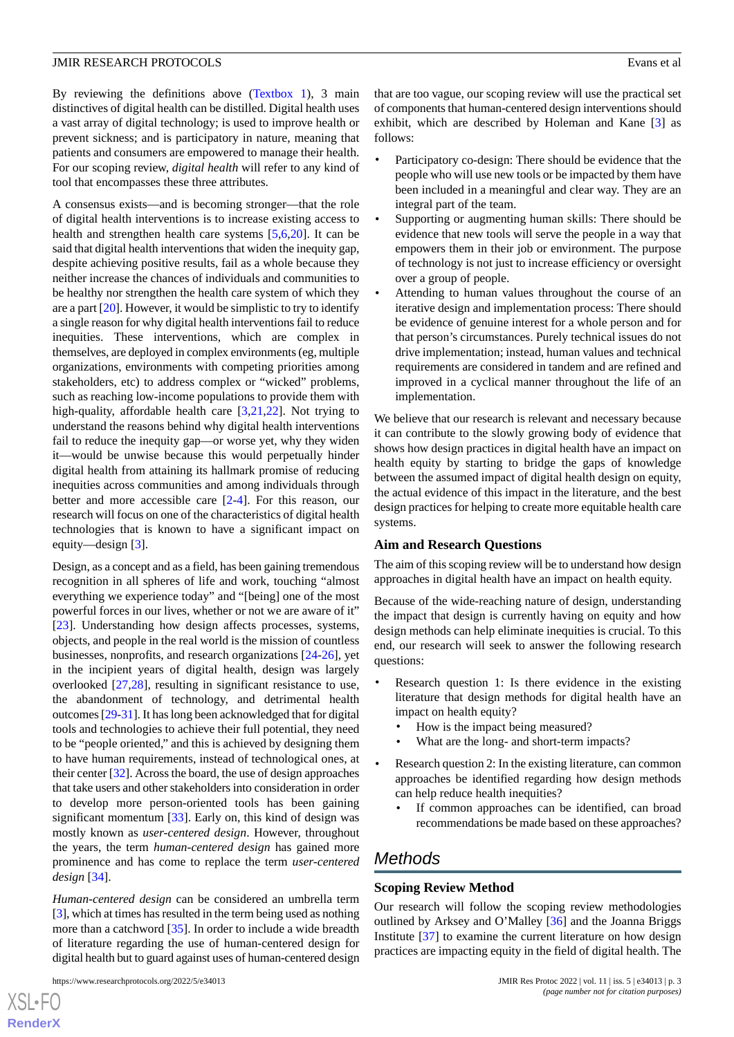By reviewing the definitions above [\(Textbox 1\)](#page-1-0), 3 main distinctives of digital health can be distilled. Digital health uses a vast array of digital technology; is used to improve health or prevent sickness; and is participatory in nature, meaning that patients and consumers are empowered to manage their health. For our scoping review, *digital health* will refer to any kind of tool that encompasses these three attributes.

A consensus exists—and is becoming stronger—that the role of digital health interventions is to increase existing access to health and strengthen health care systems [[5,](#page-6-11)[6](#page-6-2),[20\]](#page-7-4). It can be said that digital health interventions that widen the inequity gap, despite achieving positive results, fail as a whole because they neither increase the chances of individuals and communities to be healthy nor strengthen the health care system of which they are a part [[20\]](#page-7-4). However, it would be simplistic to try to identify a single reason for why digital health interventions fail to reduce inequities. These interventions, which are complex in themselves, are deployed in complex environments (eg, multiple organizations, environments with competing priorities among stakeholders, etc) to address complex or "wicked" problems, such as reaching low-income populations to provide them with high-quality, affordable health care [\[3](#page-6-12),[21,](#page-7-5)[22](#page-7-6)]. Not trying to understand the reasons behind why digital health interventions fail to reduce the inequity gap—or worse yet, why they widen it—would be unwise because this would perpetually hinder digital health from attaining its hallmark promise of reducing inequities across communities and among individuals through better and more accessible care [[2](#page-6-1)[-4](#page-6-13)]. For this reason, our research will focus on one of the characteristics of digital health technologies that is known to have a significant impact on equity—design [[3](#page-6-12)].

Design, as a concept and as a field, has been gaining tremendous recognition in all spheres of life and work, touching "almost everything we experience today" and "[being] one of the most powerful forces in our lives, whether or not we are aware of it" [[23\]](#page-7-7). Understanding how design affects processes, systems, objects, and people in the real world is the mission of countless businesses, nonprofits, and research organizations [[24-](#page-7-8)[26](#page-7-9)], yet in the incipient years of digital health, design was largely overlooked [\[27](#page-7-10)[,28](#page-7-11)], resulting in significant resistance to use, the abandonment of technology, and detrimental health outcomes [\[29](#page-7-12)[-31](#page-7-13)]. It has long been acknowledged that for digital tools and technologies to achieve their full potential, they need to be "people oriented," and this is achieved by designing them to have human requirements, instead of technological ones, at their center [\[32\]](#page-7-14). Across the board, the use of design approaches that take users and other stakeholders into consideration in order to develop more person-oriented tools has been gaining significant momentum [\[33](#page-7-15)]. Early on, this kind of design was mostly known as *user-centered design*. However, throughout the years, the term *human-centered design* has gained more prominence and has come to replace the term *user-centered design* [\[34](#page-7-16)].

*Human-centered design* can be considered an umbrella term [[3\]](#page-6-12), which at times has resulted in the term being used as nothing more than a catchword [[35\]](#page-7-17). In order to include a wide breadth of literature regarding the use of human-centered design for digital health but to guard against uses of human-centered design

 $XS$  $\cdot$ FC **[RenderX](http://www.renderx.com/)** that are too vague, our scoping review will use the practical set of components that human-centered design interventions should exhibit, which are described by Holeman and Kane [\[3](#page-6-12)] as follows:

- Participatory co-design: There should be evidence that the people who will use new tools or be impacted by them have been included in a meaningful and clear way. They are an integral part of the team.
- Supporting or augmenting human skills: There should be evidence that new tools will serve the people in a way that empowers them in their job or environment. The purpose of technology is not just to increase efficiency or oversight over a group of people.
- Attending to human values throughout the course of an iterative design and implementation process: There should be evidence of genuine interest for a whole person and for that person's circumstances. Purely technical issues do not drive implementation; instead, human values and technical requirements are considered in tandem and are refined and improved in a cyclical manner throughout the life of an implementation.

We believe that our research is relevant and necessary because it can contribute to the slowly growing body of evidence that shows how design practices in digital health have an impact on health equity by starting to bridge the gaps of knowledge between the assumed impact of digital health design on equity, the actual evidence of this impact in the literature, and the best design practices for helping to create more equitable health care systems.

#### **Aim and Research Questions**

The aim of this scoping review will be to understand how design approaches in digital health have an impact on health equity.

Because of the wide-reaching nature of design, understanding the impact that design is currently having on equity and how design methods can help eliminate inequities is crucial. To this end, our research will seek to answer the following research questions:

- Research question 1: Is there evidence in the existing literature that design methods for digital health have an impact on health equity?
	- How is the impact being measured?
	- What are the long- and short-term impacts?
- Research question 2: In the existing literature, can common approaches be identified regarding how design methods can help reduce health inequities?
	- If common approaches can be identified, can broad recommendations be made based on these approaches?

# *Methods*

### **Scoping Review Method**

Our research will follow the scoping review methodologies outlined by Arksey and O'Malley [\[36](#page-7-18)] and the Joanna Briggs Institute [[37\]](#page-7-19) to examine the current literature on how design practices are impacting equity in the field of digital health. The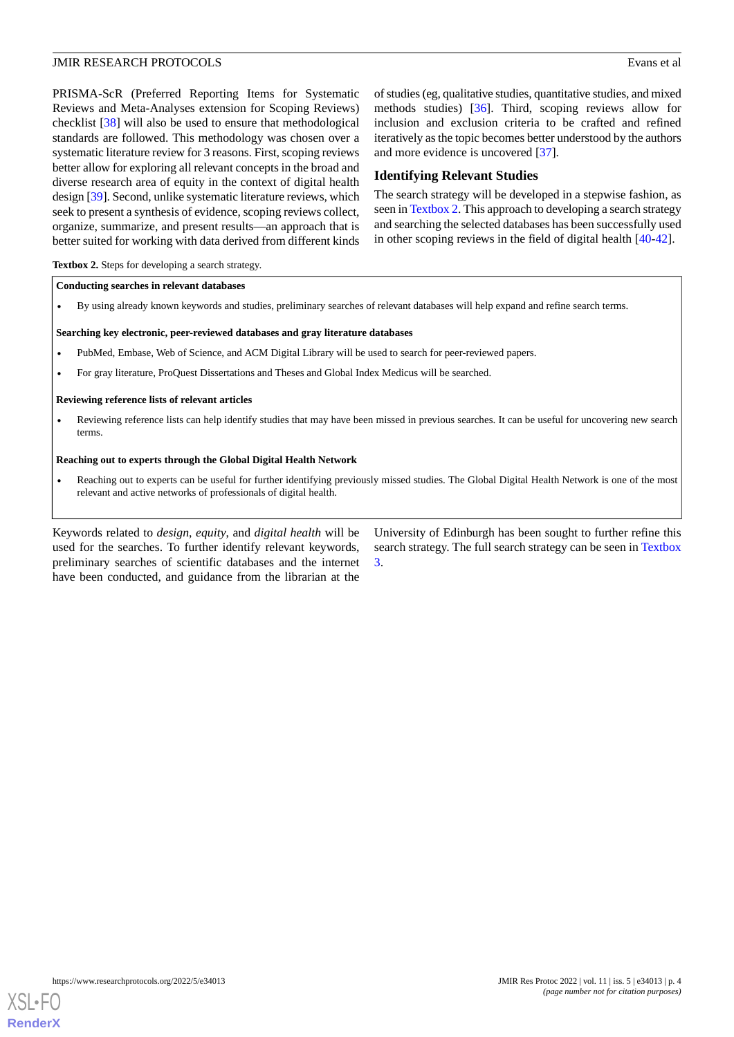PRISMA-ScR (Preferred Reporting Items for Systematic Reviews and Meta-Analyses extension for Scoping Reviews) checklist [\[38](#page-7-20)] will also be used to ensure that methodological standards are followed. This methodology was chosen over a systematic literature review for 3 reasons. First, scoping reviews better allow for exploring all relevant concepts in the broad and diverse research area of equity in the context of digital health design [[39\]](#page-7-21). Second, unlike systematic literature reviews, which seek to present a synthesis of evidence, scoping reviews collect, organize, summarize, and present results—an approach that is better suited for working with data derived from different kinds

of studies (eg, qualitative studies, quantitative studies, and mixed methods studies) [[36\]](#page-7-18). Third, scoping reviews allow for inclusion and exclusion criteria to be crafted and refined iteratively as the topic becomes better understood by the authors and more evidence is uncovered [[37\]](#page-7-19).

# **Identifying Relevant Studies**

The search strategy will be developed in a stepwise fashion, as seen in [Textbox 2.](#page-3-0) This approach to developing a search strategy and searching the selected databases has been successfully used in other scoping reviews in the field of digital health [\[40](#page-7-22)-[42\]](#page-8-0).

#### <span id="page-3-0"></span>**Textbox 2.** Steps for developing a search strategy.

#### **Conducting searches in relevant databases**

• By using already known keywords and studies, preliminary searches of relevant databases will help expand and refine search terms.

#### **Searching key electronic, peer-reviewed databases and gray literature databases**

- PubMed, Embase, Web of Science, and ACM Digital Library will be used to search for peer-reviewed papers.
- For gray literature, ProQuest Dissertations and Theses and Global Index Medicus will be searched.

#### **Reviewing reference lists of relevant articles**

• Reviewing reference lists can help identify studies that may have been missed in previous searches. It can be useful for uncovering new search terms.

#### **Reaching out to experts through the Global Digital Health Network**

• Reaching out to experts can be useful for further identifying previously missed studies. The Global Digital Health Network is one of the most relevant and active networks of professionals of digital health.

Keywords related to *design*, *equity*, and *digital health* will be used for the searches. To further identify relevant keywords, preliminary searches of scientific databases and the internet have been conducted, and guidance from the librarian at the

University of Edinburgh has been sought to further refine this search strategy. The full search strategy can be seen in [Textbox](#page-4-0) [3.](#page-4-0)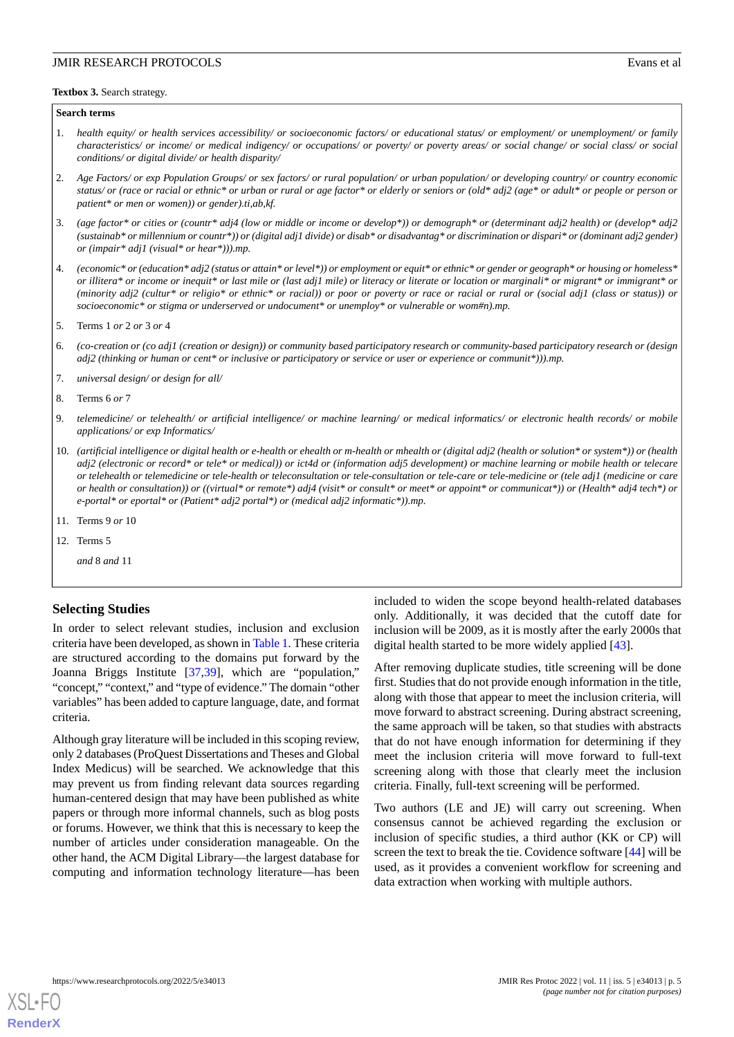#### <span id="page-4-0"></span>**Textbox 3.** Search strategy.

#### **Search terms**

- 1. *health equity/ or health services accessibility/ or socioeconomic factors/ or educational status/ or employment/ or unemployment/ or family characteristics/ or income/ or medical indigency/ or occupations/ or poverty/ or poverty areas/ or social change/ or social class/ or social conditions/ or digital divide/ or health disparity/*
- 2. *Age Factors/ or exp Population Groups/ or sex factors/ or rural population/ or urban population/ or developing country/ or country economic status/ or (race or racial or ethnic\* or urban or rural or age factor\* or elderly or seniors or (old\* adj2 (age\* or adult\* or people or person or patient\* or men or women)) or gender).ti,ab,kf.*
- 3. *(age factor\* or cities or (countr\* adj4 (low or middle or income or develop\*)) or demograph\* or (determinant adj2 health) or (develop\* adj2 (sustainab\* or millennium or countr\*)) or (digital adj1 divide) or disab\* or disadvantag\* or discrimination or dispari\* or (dominant adj2 gender) or (impair\* adj1 (visual\* or hear\*))).mp.*
- 4. *(economic\* or (education\* adj2 (status or attain\* or level\*)) or employment or equit\* or ethnic\* or gender or geograph\* or housing or homeless\* or illitera\* or income or inequit\* or last mile or (last adj1 mile) or literacy or literate or location or marginali\* or migrant\* or immigrant\* or (minority adj2 (cultur\* or religio\* or ethnic\* or racial)) or poor or poverty or race or racial or rural or (social adj1 (class or status)) or socioeconomic\* or stigma or underserved or undocument\* or unemploy\* or vulnerable or wom#n).mp.*
- 5. Terms 1 *or* 2 *or* 3 *or* 4
- 6. *(co-creation or (co adj1 (creation or design)) or community based participatory research or community-based participatory research or (design adj2 (thinking or human or cent\* or inclusive or participatory or service or user or experience or communit\*))).mp.*
- 7. *universal design/ or design for all/*
- 8. Terms 6 *or* 7
- 9. *telemedicine/ or telehealth/ or artificial intelligence/ or machine learning/ or medical informatics/ or electronic health records/ or mobile applications/ or exp Informatics/*
- 10. *(artificial intelligence or digital health or e-health or ehealth or m-health or mhealth or (digital adj2 (health or solution\* or system\*)) or (health adj2 (electronic or record\* or tele\* or medical)) or ict4d or (information adj5 development) or machine learning or mobile health or telecare or telehealth or telemedicine or tele-health or teleconsultation or tele-consultation or tele-care or tele-medicine or (tele adj1 (medicine or care or health or consultation)) or ((virtual\* or remote\*) adj4 (visit\* or consult\* or meet\* or appoint\* or communicat\*)) or (Health\* adj4 tech\*) or e-portal\* or eportal\* or (Patient\* adj2 portal\*) or (medical adj2 informatic\*)).mp.*
- 11. Terms 9 *or* 10
- 12. Terms 5

*and* 8 *and* 11

#### **Selecting Studies**

In order to select relevant studies, inclusion and exclusion criteria have been developed, as shown in [Table 1.](#page-5-0) These criteria are structured according to the domains put forward by the Joanna Briggs Institute [\[37](#page-7-19),[39\]](#page-7-21), which are "population," "concept," "context," and "type of evidence." The domain "other variables" has been added to capture language, date, and format criteria.

Although gray literature will be included in this scoping review, only 2 databases (ProQuest Dissertations and Theses and Global Index Medicus) will be searched. We acknowledge that this may prevent us from finding relevant data sources regarding human-centered design that may have been published as white papers or through more informal channels, such as blog posts or forums. However, we think that this is necessary to keep the number of articles under consideration manageable. On the other hand, the ACM Digital Library—the largest database for computing and information technology literature—has been

included to widen the scope beyond health-related databases only. Additionally, it was decided that the cutoff date for inclusion will be 2009, as it is mostly after the early 2000s that digital health started to be more widely applied [\[43](#page-8-1)].

After removing duplicate studies, title screening will be done first. Studies that do not provide enough information in the title, along with those that appear to meet the inclusion criteria, will move forward to abstract screening. During abstract screening, the same approach will be taken, so that studies with abstracts that do not have enough information for determining if they meet the inclusion criteria will move forward to full-text screening along with those that clearly meet the inclusion criteria. Finally, full-text screening will be performed.

Two authors (LE and JE) will carry out screening. When consensus cannot be achieved regarding the exclusion or inclusion of specific studies, a third author (KK or CP) will screen the text to break the tie. Covidence software [\[44](#page-8-2)] will be used, as it provides a convenient workflow for screening and data extraction when working with multiple authors.

[XSL](http://www.w3.org/Style/XSL)•FO **[RenderX](http://www.renderx.com/)**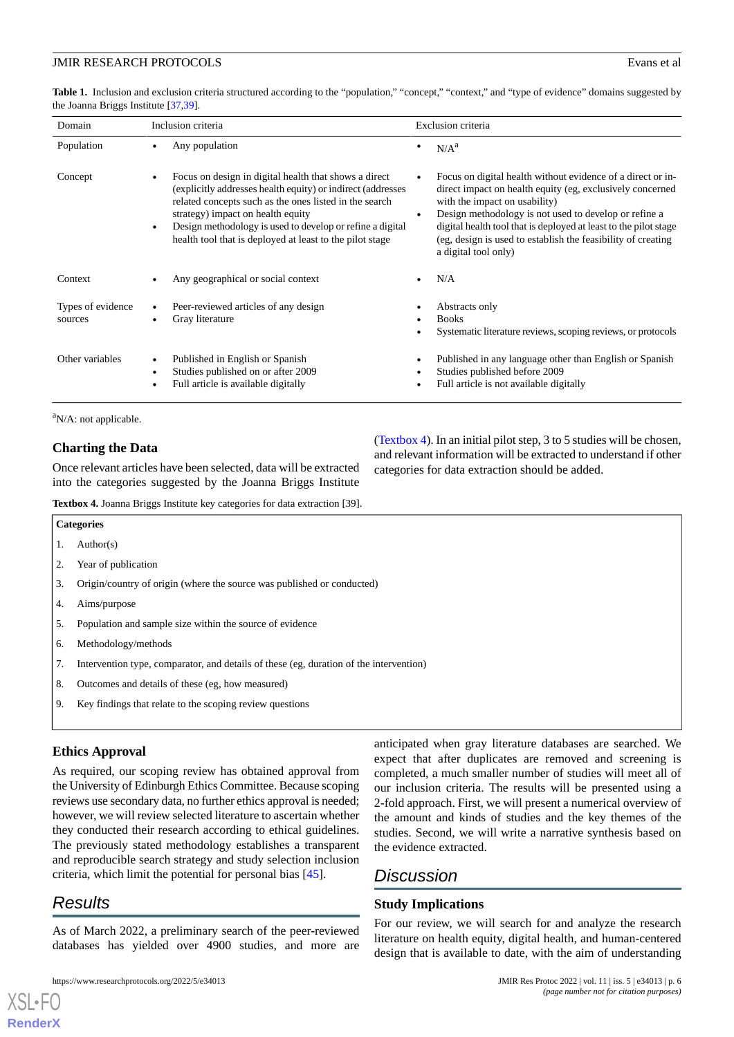<span id="page-5-0"></span>Table 1. Inclusion and exclusion criteria structured according to the "population," "concept," "context," and "type of evidence" domains suggested by the Joanna Briggs Institute [\[37,](#page-7-19)[39\]](#page-7-21).

| Domain                       | Inclusion criteria |                                                                                                                                                                                                                                                                                                                                              | Exclusion criteria |                                                                                                                                                                                                                                                                                                                                                                                |
|------------------------------|--------------------|----------------------------------------------------------------------------------------------------------------------------------------------------------------------------------------------------------------------------------------------------------------------------------------------------------------------------------------------|--------------------|--------------------------------------------------------------------------------------------------------------------------------------------------------------------------------------------------------------------------------------------------------------------------------------------------------------------------------------------------------------------------------|
| Population                   |                    | Any population                                                                                                                                                                                                                                                                                                                               |                    | N/A <sup>a</sup>                                                                                                                                                                                                                                                                                                                                                               |
| Concept                      |                    | Focus on design in digital health that shows a direct<br>(explicitly addresses health equity) or indirect (addresses<br>related concepts such as the ones listed in the search<br>strategy) impact on health equity<br>Design methodology is used to develop or refine a digital<br>health tool that is deployed at least to the pilot stage | $\bullet$          | Focus on digital health without evidence of a direct or in-<br>direct impact on health equity (eg, exclusively concerned<br>with the impact on usability)<br>Design methodology is not used to develop or refine a<br>digital health tool that is deployed at least to the pilot stage<br>(eg, design is used to establish the feasibility of creating<br>a digital tool only) |
| Context                      |                    | Any geographical or social context                                                                                                                                                                                                                                                                                                           |                    | N/A                                                                                                                                                                                                                                                                                                                                                                            |
| Types of evidence<br>sources |                    | Peer-reviewed articles of any design<br>Gray literature                                                                                                                                                                                                                                                                                      |                    | Abstracts only<br><b>Books</b><br>Systematic literature reviews, scoping reviews, or protocols                                                                                                                                                                                                                                                                                 |
| Other variables              |                    | Published in English or Spanish<br>Studies published on or after 2009<br>Full article is available digitally                                                                                                                                                                                                                                 |                    | Published in any language other than English or Spanish<br>Studies published before 2009<br>Full article is not available digitally                                                                                                                                                                                                                                            |

 ${}^{\text{a}}$ N/A: not applicable.

# <span id="page-5-1"></span>**Charting the Data**

Once relevant articles have been selected, data will be extracted into the categories suggested by the Joanna Briggs Institute

**Textbox 4.** Joanna Briggs Institute key categories for data extraction [39].

([Textbox 4](#page-5-1)). In an initial pilot step, 3 to 5 studies will be chosen, and relevant information will be extracted to understand if other categories for data extraction should be added.

- **Categories** 1. Author(s) 2. Year of publication 3. Origin/country of origin (where the source was published or conducted) 4. Aims/purpose 5. Population and sample size within the source of evidence 6. Methodology/methods 7. Intervention type, comparator, and details of these (eg, duration of the intervention) 8. Outcomes and details of these (eg, how measured)
- 9. Key findings that relate to the scoping review questions

# **Ethics Approval**

As required, our scoping review has obtained approval from the University of Edinburgh Ethics Committee. Because scoping reviews use secondary data, no further ethics approval is needed; however, we will review selected literature to ascertain whether they conducted their research according to ethical guidelines. The previously stated methodology establishes a transparent and reproducible search strategy and study selection inclusion criteria, which limit the potential for personal bias [[45\]](#page-8-3).

# *Results*

[XSL](http://www.w3.org/Style/XSL)•FO **[RenderX](http://www.renderx.com/)**

As of March 2022, a preliminary search of the peer-reviewed databases has yielded over 4900 studies, and more are

anticipated when gray literature databases are searched. We expect that after duplicates are removed and screening is completed, a much smaller number of studies will meet all of our inclusion criteria. The results will be presented using a 2-fold approach. First, we will present a numerical overview of the amount and kinds of studies and the key themes of the studies. Second, we will write a narrative synthesis based on the evidence extracted.

# *Discussion*

# **Study Implications**

For our review, we will search for and analyze the research literature on health equity, digital health, and human-centered design that is available to date, with the aim of understanding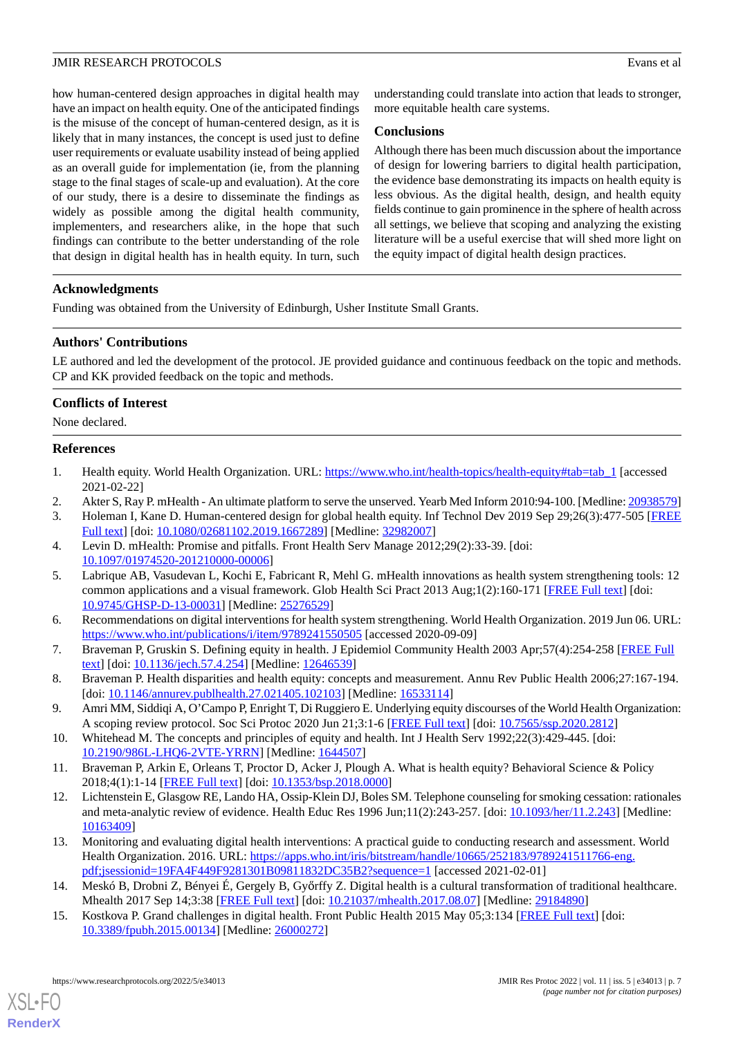how human-centered design approaches in digital health may have an impact on health equity. One of the anticipated findings is the misuse of the concept of human-centered design, as it is likely that in many instances, the concept is used just to define user requirements or evaluate usability instead of being applied as an overall guide for implementation (ie, from the planning stage to the final stages of scale-up and evaluation). At the core of our study, there is a desire to disseminate the findings as widely as possible among the digital health community, implementers, and researchers alike, in the hope that such findings can contribute to the better understanding of the role that design in digital health has in health equity. In turn, such

understanding could translate into action that leads to stronger, more equitable health care systems.

# **Conclusions**

Although there has been much discussion about the importance of design for lowering barriers to digital health participation, the evidence base demonstrating its impacts on health equity is less obvious. As the digital health, design, and health equity fields continue to gain prominence in the sphere of health across all settings, we believe that scoping and analyzing the existing literature will be a useful exercise that will shed more light on the equity impact of digital health design practices.

# **Acknowledgments**

Funding was obtained from the University of Edinburgh, Usher Institute Small Grants.

# **Authors' Contributions**

LE authored and led the development of the protocol. JE provided guidance and continuous feedback on the topic and methods. CP and KK provided feedback on the topic and methods.

# **Conflicts of Interest**

<span id="page-6-0"></span>None declared.

# <span id="page-6-1"></span>**References**

- <span id="page-6-12"></span>1. Health equity. World Health Organization. URL: [https://www.who.int/health-topics/health-equity#tab=tab\\_1](https://www.who.int/health-topics/health-equity#tab=tab_1) [accessed 2021-02-22]
- <span id="page-6-13"></span>2. Akter S, Ray P. mHealth - An ultimate platform to serve the unserved. Yearb Med Inform 2010:94-100. [Medline: [20938579](http://www.ncbi.nlm.nih.gov/entrez/query.fcgi?cmd=Retrieve&db=PubMed&list_uids=20938579&dopt=Abstract)]
- <span id="page-6-11"></span>3. Holeman I, Kane D. Human-centered design for global health equity. Inf Technol Dev 2019 Sep 29;26(3):477-505 [\[FREE](http://europepmc.org/abstract/MED/32982007) [Full text\]](http://europepmc.org/abstract/MED/32982007) [doi: [10.1080/02681102.2019.1667289](http://dx.doi.org/10.1080/02681102.2019.1667289)] [Medline: [32982007](http://www.ncbi.nlm.nih.gov/entrez/query.fcgi?cmd=Retrieve&db=PubMed&list_uids=32982007&dopt=Abstract)]
- <span id="page-6-2"></span>4. Levin D. mHealth: Promise and pitfalls. Front Health Serv Manage 2012;29(2):33-39. [doi: [10.1097/01974520-201210000-00006](http://dx.doi.org/10.1097/01974520-201210000-00006)]
- <span id="page-6-3"></span>5. Labrique AB, Vasudevan L, Kochi E, Fabricant R, Mehl G. mHealth innovations as health system strengthening tools: 12 common applications and a visual framework. Glob Health Sci Pract 2013 Aug;1(2):160-171 [[FREE Full text](http://www.ghspjournal.org/cgi/pmidlookup?view=long&pmid=25276529)] [doi: [10.9745/GHSP-D-13-00031\]](http://dx.doi.org/10.9745/GHSP-D-13-00031) [Medline: [25276529](http://www.ncbi.nlm.nih.gov/entrez/query.fcgi?cmd=Retrieve&db=PubMed&list_uids=25276529&dopt=Abstract)]
- 6. Recommendations on digital interventions for health system strengthening. World Health Organization. 2019 Jun 06. URL: <https://www.who.int/publications/i/item/9789241550505> [accessed 2020-09-09]
- <span id="page-6-4"></span>7. Braveman P, Gruskin S. Defining equity in health. J Epidemiol Community Health 2003 Apr;57(4):254-258 [\[FREE Full](https://jech.bmj.com/lookup/pmidlookup?view=long&pmid=12646539) [text](https://jech.bmj.com/lookup/pmidlookup?view=long&pmid=12646539)] [doi: [10.1136/jech.57.4.254](http://dx.doi.org/10.1136/jech.57.4.254)] [Medline: [12646539\]](http://www.ncbi.nlm.nih.gov/entrez/query.fcgi?cmd=Retrieve&db=PubMed&list_uids=12646539&dopt=Abstract)
- <span id="page-6-6"></span><span id="page-6-5"></span>8. Braveman P. Health disparities and health equity: concepts and measurement. Annu Rev Public Health 2006;27:167-194. [doi: [10.1146/annurev.publhealth.27.021405.102103\]](http://dx.doi.org/10.1146/annurev.publhealth.27.021405.102103) [Medline: [16533114](http://www.ncbi.nlm.nih.gov/entrez/query.fcgi?cmd=Retrieve&db=PubMed&list_uids=16533114&dopt=Abstract)]
- <span id="page-6-7"></span>9. Amri MM, Siddiqi A, O'Campo P, Enright T, Di Ruggiero E. Underlying equity discourses of the World Health Organization: A scoping review protocol. Soc Sci Protoc 2020 Jun 21;3:1-6 [\[FREE Full text\]](http://journals.ed.ac.uk/social-science-protocols/article/view/4383/6016) [doi: [10.7565/ssp.2020.2812](http://dx.doi.org/10.7565/ssp.2020.2812)]
- 10. Whitehead M. The concepts and principles of equity and health. Int J Health Serv 1992;22(3):429-445. [doi: [10.2190/986L-LHQ6-2VTE-YRRN\]](http://dx.doi.org/10.2190/986L-LHQ6-2VTE-YRRN) [Medline: [1644507](http://www.ncbi.nlm.nih.gov/entrez/query.fcgi?cmd=Retrieve&db=PubMed&list_uids=1644507&dopt=Abstract)]
- <span id="page-6-8"></span>11. Braveman P, Arkin E, Orleans T, Proctor D, Acker J, Plough A. What is health equity? Behavioral Science & Policy 2018;4(1):1-14 [[FREE Full text](https://behavioralpolicy.org/wp-content/uploads/2018/12/What-is-Health-Equity.pdf)] [doi: [10.1353/bsp.2018.0000\]](http://dx.doi.org/10.1353/bsp.2018.0000)
- <span id="page-6-9"></span>12. Lichtenstein E, Glasgow RE, Lando HA, Ossip-Klein DJ, Boles SM. Telephone counseling for smoking cessation: rationales and meta-analytic review of evidence. Health Educ Res 1996 Jun;11(2):243-257. [doi: [10.1093/her/11.2.243\]](http://dx.doi.org/10.1093/her/11.2.243) [Medline: [10163409](http://www.ncbi.nlm.nih.gov/entrez/query.fcgi?cmd=Retrieve&db=PubMed&list_uids=10163409&dopt=Abstract)]
- <span id="page-6-10"></span>13. Monitoring and evaluating digital health interventions: A practical guide to conducting research and assessment. World Health Organization. 2016. URL: [https://apps.who.int/iris/bitstream/handle/10665/252183/9789241511766-eng.](https://apps.who.int/iris/bitstream/handle/10665/252183/9789241511766-eng.pdf;jsessionid=19FA4F449F9281301B09811832DC35B2?sequence=1) [pdf;jsessionid=19FA4F449F9281301B09811832DC35B2?sequence=1](https://apps.who.int/iris/bitstream/handle/10665/252183/9789241511766-eng.pdf;jsessionid=19FA4F449F9281301B09811832DC35B2?sequence=1) [accessed 2021-02-01]
- 14. Meskó B, Drobni Z, Bényei É, Gergely B, Győrffy Z. Digital health is a cultural transformation of traditional healthcare. Mhealth 2017 Sep 14;3:38 [[FREE Full text](https://doi.org/10.21037/mhealth.2017.08.07)] [doi: [10.21037/mhealth.2017.08.07](http://dx.doi.org/10.21037/mhealth.2017.08.07)] [Medline: [29184890](http://www.ncbi.nlm.nih.gov/entrez/query.fcgi?cmd=Retrieve&db=PubMed&list_uids=29184890&dopt=Abstract)]
- 15. Kostkova P. Grand challenges in digital health. Front Public Health 2015 May 05;3:134 [\[FREE Full text](https://doi.org/10.3389/fpubh.2015.00134)] [doi: [10.3389/fpubh.2015.00134](http://dx.doi.org/10.3389/fpubh.2015.00134)] [Medline: [26000272\]](http://www.ncbi.nlm.nih.gov/entrez/query.fcgi?cmd=Retrieve&db=PubMed&list_uids=26000272&dopt=Abstract)

[XSL](http://www.w3.org/Style/XSL)•FO **[RenderX](http://www.renderx.com/)**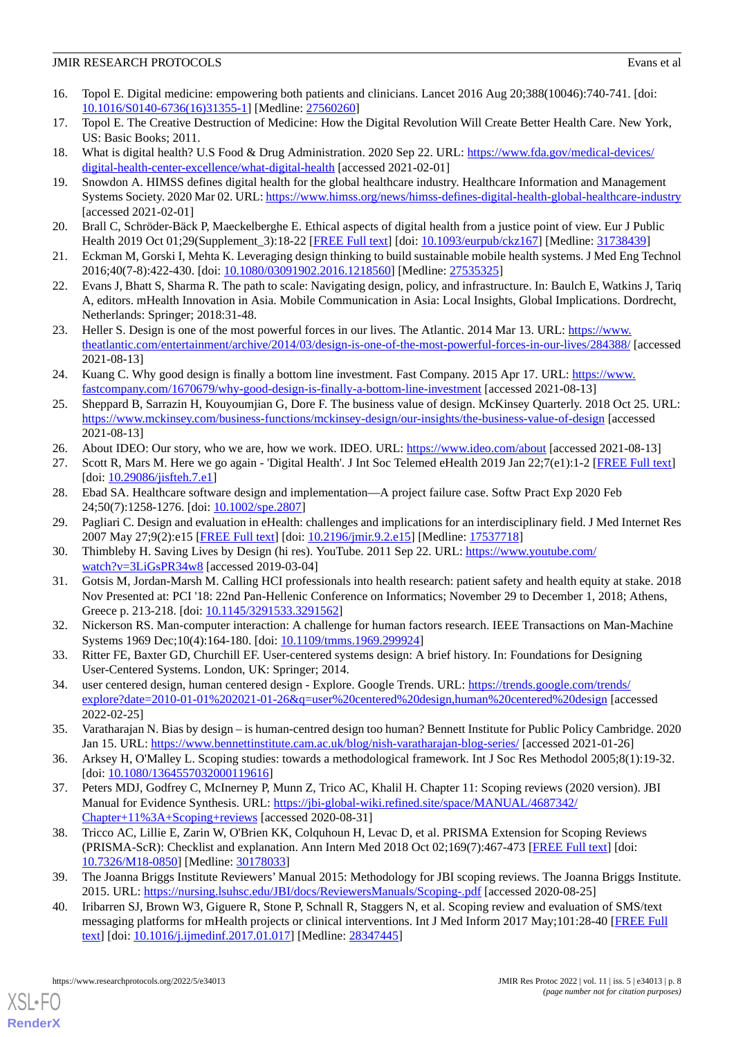- <span id="page-7-0"></span>16. Topol E. Digital medicine: empowering both patients and clinicians. Lancet 2016 Aug 20;388(10046):740-741. [doi: [10.1016/S0140-6736\(16\)31355-1\]](http://dx.doi.org/10.1016/S0140-6736(16)31355-1) [Medline: [27560260](http://www.ncbi.nlm.nih.gov/entrez/query.fcgi?cmd=Retrieve&db=PubMed&list_uids=27560260&dopt=Abstract)]
- <span id="page-7-2"></span><span id="page-7-1"></span>17. Topol E. The Creative Destruction of Medicine: How the Digital Revolution Will Create Better Health Care. New York, US: Basic Books; 2011.
- <span id="page-7-3"></span>18. What is digital health? U.S Food & Drug Administration. 2020 Sep 22. URL: [https://www.fda.gov/medical-devices/](https://www.fda.gov/medical-devices/digital-health-center-excellence/what-digital-health) [digital-health-center-excellence/what-digital-health](https://www.fda.gov/medical-devices/digital-health-center-excellence/what-digital-health) [accessed 2021-02-01]
- <span id="page-7-4"></span>19. Snowdon A. HIMSS defines digital health for the global healthcare industry. Healthcare Information and Management Systems Society. 2020 Mar 02. URL:<https://www.himss.org/news/himss-defines-digital-health-global-healthcare-industry> [accessed 2021-02-01]
- <span id="page-7-5"></span>20. Brall C, Schröder-Bäck P, Maeckelberghe E. Ethical aspects of digital health from a justice point of view. Eur J Public Health 2019 Oct 01;29(Supplement\_3):18-22 [\[FREE Full text\]](http://europepmc.org/abstract/MED/31738439) [doi: [10.1093/eurpub/ckz167\]](http://dx.doi.org/10.1093/eurpub/ckz167) [Medline: [31738439](http://www.ncbi.nlm.nih.gov/entrez/query.fcgi?cmd=Retrieve&db=PubMed&list_uids=31738439&dopt=Abstract)]
- <span id="page-7-6"></span>21. Eckman M, Gorski I, Mehta K. Leveraging design thinking to build sustainable mobile health systems. J Med Eng Technol 2016;40(7-8):422-430. [doi: [10.1080/03091902.2016.1218560](http://dx.doi.org/10.1080/03091902.2016.1218560)] [Medline: [27535325\]](http://www.ncbi.nlm.nih.gov/entrez/query.fcgi?cmd=Retrieve&db=PubMed&list_uids=27535325&dopt=Abstract)
- <span id="page-7-7"></span>22. Evans J, Bhatt S, Sharma R. The path to scale: Navigating design, policy, and infrastructure. In: Baulch E, Watkins J, Tariq A, editors. mHealth Innovation in Asia. Mobile Communication in Asia: Local Insights, Global Implications. Dordrecht, Netherlands: Springer; 2018:31-48.
- <span id="page-7-8"></span>23. Heller S. Design is one of the most powerful forces in our lives. The Atlantic. 2014 Mar 13. URL: [https://www.](https://www.theatlantic.com/entertainment/archive/2014/03/design-is-one-of-the-most-powerful-forces-in-our-lives/284388/) [theatlantic.com/entertainment/archive/2014/03/design-is-one-of-the-most-powerful-forces-in-our-lives/284388/](https://www.theatlantic.com/entertainment/archive/2014/03/design-is-one-of-the-most-powerful-forces-in-our-lives/284388/) [accessed 2021-08-13]
- 24. Kuang C. Why good design is finally a bottom line investment. Fast Company. 2015 Apr 17. URL: [https://www.](https://www.fastcompany.com/1670679/why-good-design-is-finally-a-bottom-line-investment) [fastcompany.com/1670679/why-good-design-is-finally-a-bottom-line-investment](https://www.fastcompany.com/1670679/why-good-design-is-finally-a-bottom-line-investment) [accessed 2021-08-13]
- <span id="page-7-10"></span><span id="page-7-9"></span>25. Sheppard B, Sarrazin H, Kouyoumjian G, Dore F. The business value of design. McKinsey Quarterly. 2018 Oct 25. URL: <https://www.mckinsey.com/business-functions/mckinsey-design/our-insights/the-business-value-of-design> [accessed 2021-08-13]
- <span id="page-7-11"></span>26. About IDEO: Our story, who we are, how we work. IDEO. URL: <https://www.ideo.com/about> [accessed 2021-08-13]
- <span id="page-7-12"></span>27. Scott R, Mars M. Here we go again - 'Digital Health'. J Int Soc Telemed eHealth 2019 Jan 22;7(e1):1-2 [\[FREE Full text\]](https://journals.ukzn.ac.za/index.php/JISfTeH/article/view/976/1321) [doi: [10.29086/jisfteh.7.e1\]](http://dx.doi.org/10.29086/jisfteh.7.e1)
- 28. Ebad SA. Healthcare software design and implementation—A project failure case. Softw Pract Exp 2020 Feb 24;50(7):1258-1276. [doi: [10.1002/spe.2807\]](http://dx.doi.org/10.1002/spe.2807)
- <span id="page-7-13"></span>29. Pagliari C. Design and evaluation in eHealth: challenges and implications for an interdisciplinary field. J Med Internet Res 2007 May 27;9(2):e15 [\[FREE Full text\]](https://www.jmir.org/2007/2/e15/) [doi: [10.2196/jmir.9.2.e15](http://dx.doi.org/10.2196/jmir.9.2.e15)] [Medline: [17537718](http://www.ncbi.nlm.nih.gov/entrez/query.fcgi?cmd=Retrieve&db=PubMed&list_uids=17537718&dopt=Abstract)]
- <span id="page-7-14"></span>30. Thimbleby H. Saving Lives by Design (hi res). YouTube. 2011 Sep 22. URL: [https://www.youtube.com/](https://www.youtube.com/watch?v=3LiGsPR34w8) [watch?v=3LiGsPR34w8](https://www.youtube.com/watch?v=3LiGsPR34w8) [accessed 2019-03-04]
- <span id="page-7-15"></span>31. Gotsis M, Jordan-Marsh M. Calling HCI professionals into health research: patient safety and health equity at stake. 2018 Nov Presented at: PCI '18: 22nd Pan-Hellenic Conference on Informatics; November 29 to December 1, 2018; Athens, Greece p. 213-218. [doi: [10.1145/3291533.3291562\]](http://dx.doi.org/10.1145/3291533.3291562)
- <span id="page-7-16"></span>32. Nickerson RS. Man-computer interaction: A challenge for human factors research. IEEE Transactions on Man-Machine Systems 1969 Dec;10(4):164-180. [doi: [10.1109/tmms.1969.299924](http://dx.doi.org/10.1109/tmms.1969.299924)]
- <span id="page-7-17"></span>33. Ritter FE, Baxter GD, Churchill EF. User-centered systems design: A brief history. In: Foundations for Designing User-Centered Systems. London, UK: Springer; 2014.
- <span id="page-7-18"></span>34. user centered design, human centered design - Explore. Google Trends. URL: [https://trends.google.com/trends/](https://trends.google.com/trends/explore?date=2010-01-01%202021-01-26&q=user%20centered%20design,human%20centered%20design) [explore?date=2010-01-01%202021-01-26&q=user%20centered%20design,human%20centered%20design](https://trends.google.com/trends/explore?date=2010-01-01%202021-01-26&q=user%20centered%20design,human%20centered%20design) [accessed 2022-02-25]
- <span id="page-7-19"></span>35. Varatharajan N. Bias by design – is human-centred design too human? Bennett Institute for Public Policy Cambridge. 2020 Jan 15. URL: <https://www.bennettinstitute.cam.ac.uk/blog/nish-varatharajan-blog-series/> [accessed 2021-01-26]
- <span id="page-7-20"></span>36. Arksey H, O'Malley L. Scoping studies: towards a methodological framework. Int J Soc Res Methodol 2005;8(1):19-32. [doi: [10.1080/1364557032000119616](http://dx.doi.org/10.1080/1364557032000119616)]
- <span id="page-7-21"></span>37. Peters MDJ, Godfrey C, McInerney P, Munn Z, Trico AC, Khalil H. Chapter 11: Scoping reviews (2020 version). JBI Manual for Evidence Synthesis. URL: [https://jbi-global-wiki.refined.site/space/MANUAL/4687342/](https://jbi-global-wiki.refined.site/space/MANUAL/4687342/Chapter+11%3A+Scoping+reviews) [Chapter+11%3A+Scoping+reviews](https://jbi-global-wiki.refined.site/space/MANUAL/4687342/Chapter+11%3A+Scoping+reviews) [accessed 2020-08-31]
- <span id="page-7-22"></span>38. Tricco AC, Lillie E, Zarin W, O'Brien KK, Colquhoun H, Levac D, et al. PRISMA Extension for Scoping Reviews (PRISMA-ScR): Checklist and explanation. Ann Intern Med 2018 Oct 02;169(7):467-473 [\[FREE Full text\]](https://www.acpjournals.org/doi/abs/10.7326/M18-0850?url_ver=Z39.88-2003&rfr_id=ori:rid:crossref.org&rfr_dat=cr_pub%3dpubmed) [doi: [10.7326/M18-0850](http://dx.doi.org/10.7326/M18-0850)] [Medline: [30178033\]](http://www.ncbi.nlm.nih.gov/entrez/query.fcgi?cmd=Retrieve&db=PubMed&list_uids=30178033&dopt=Abstract)
- 39. The Joanna Briggs Institute Reviewers' Manual 2015: Methodology for JBI scoping reviews. The Joanna Briggs Institute. 2015. URL: <https://nursing.lsuhsc.edu/JBI/docs/ReviewersManuals/Scoping-.pdf> [accessed 2020-08-25]
- 40. Iribarren SJ, Brown W3, Giguere R, Stone P, Schnall R, Staggers N, et al. Scoping review and evaluation of SMS/text messaging platforms for mHealth projects or clinical interventions. Int J Med Inform 2017 May;101:28-40 [[FREE Full](http://europepmc.org/abstract/MED/28347445) [text](http://europepmc.org/abstract/MED/28347445)] [doi: [10.1016/j.ijmedinf.2017.01.017\]](http://dx.doi.org/10.1016/j.ijmedinf.2017.01.017) [Medline: [28347445](http://www.ncbi.nlm.nih.gov/entrez/query.fcgi?cmd=Retrieve&db=PubMed&list_uids=28347445&dopt=Abstract)]

[XSL](http://www.w3.org/Style/XSL)•FO **[RenderX](http://www.renderx.com/)**